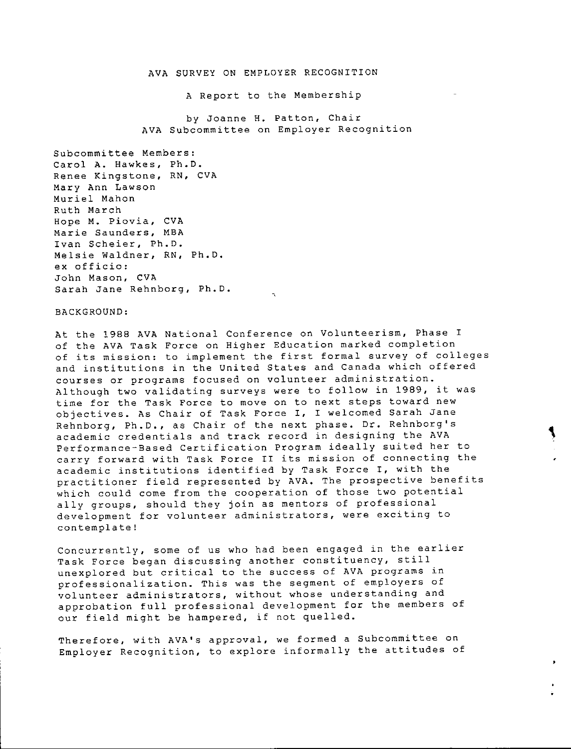#### AVA SURVEY ON EMPLOYER RECOGNITION

A Report to the Membership

by Joanne H. Patton, Chai AVA Subcommittee on Employer Recognit

Subcommittee Members: Carol A. Hawkes, Ph.D. **Renee Kingstone, RN, CVA**  Mary Ann Lawson Muriel Mahon Ruth March **Hope M. Piovia, CVA Marie Saunders, MBA**  Ivan Scheier, Ph.D. Melsie Waldner, RN, Ph.D. **ex officio:**  John Mason, CVA Sarah Jane Rehnborg, Ph.D.

#### BACKGROUND:

At the 1988 AVA National Conference on Volunteerism, Phase I of the AVA Task Force on Higher Education marked completion **of its mission: to implement the first formal survey of colleges**  and institutions in the United States and Canada which offered **courses or programs focused on volunteer administration.**  Although two validating surveys were to follow in 1989, it was **time for the Task Force to move on to next steps toward new**  objectives. As Chair of Task Force I, I welcomed Sarah Jane Rehnborg, Ph.D., as Chair of the next phase. Dr. Rehnborg's **academic credentials and track record in designing the AVA**  Performance-Based Certification Program ideally suited her to **carry forward with Task Force II its mission of connecting the**  academic institutions identified by Task Force I, with the practitioner field represented by AVA. The prospective benefits which could come from the cooperation of those two potential ally groups, should they join as mentors of professional **development for volunteer administrators, were exciting to contemplate!** 

**Concurrently, some of us who had been engaged in the earlier Task Force began discussing another constituency, still unexplored but critical to the success of AVA programs in professionalization. This was the segment of employers of volunteer administrators, without whose understanding and**  approbation full professional development for the members of our field might be hampered, if not quelled.

**Therefore, with AVA's approval, we formed a Subcommittee on**  Employer Recognition, to explore informally the attitudes of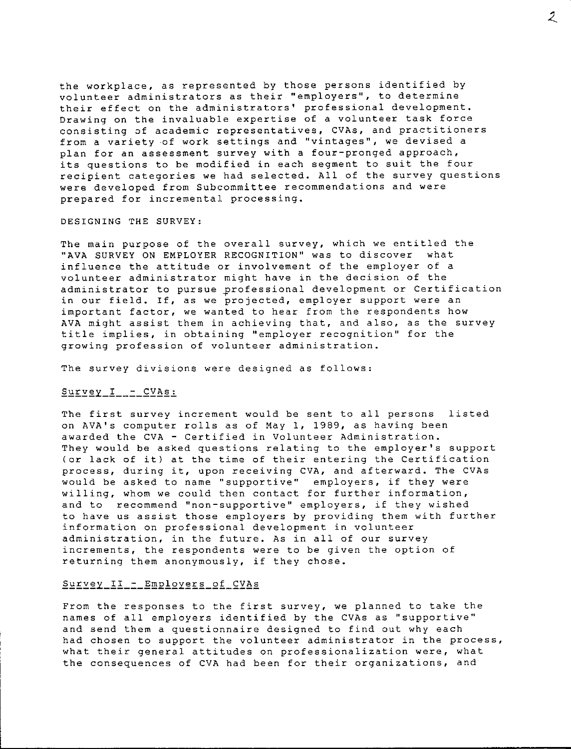the workplace, as represented by those persons identified by **volunteer administrators as their ''employers'', to determine**  their effect on the administrators' professional development. **Drawing on the invaluable expertise of a volunteer task force consisting of academic representatives, CVAs, and practitioners from a variety -of work settings and ''vintages <sup>11</sup> , we devised a**  plan for an assessment survey with a four-pronged approach, its questions to be modified in each segment to suit the four recipient categories we had selected. All of the survey questions **were developed from Subcommittee recommendations and were prepared for incremental processing.** 

#### DESIGNING THE SURVEY:

The main purpose of the overall survey, which we entitled the "AVA SURVEY ON EMPLOYER RECOGNITION" was to discover what influence the attitude or involvement of the employer of a volunteer administrator might have in the decision of the administrator to pursue professional development or Certification **in our field. If, as we projected, employer support were an**  important factor, we wanted to hear from the respondents how **AVA might assist them in achieving that, and also, as the survey title implies, in obtaining ''employer recognition'' for the growing profession of volunteer administration.** 

**The survey divisions were designed as follows:** 

## Survey  $I - CVAs:$

The first survey increment would be sent to all persons listed on AVA's computer rolls as of May 1, 1989, as having been **awarded the CVA - Certified in Volunteer Administration.**  They would be asked questions relating to the employer's support (or lack of it) at the time of their entering the Certification **process, during it, upon receiving CVA, and afterward. The CVAs would be asked to name ''supportive'' employers, if they were**  willing, whom we could then contact for further information, **and to recommend ''non-supportive <sup>11</sup>employers, if they wished**  to have us assist those employers by providing them with further **information on professional development in volunteer administration, in the future. As in all of our survey increments, the respondents were to be given the option of**  returning them anonymously, if they chose.

### Survey\_II\_-\_Employers\_of\_CVAs

From the responses to the first survey, we planned to take the names of all employers identified by the CVAs as "supportive" and send them a questionnaire designed to find out why each **had chosen to support the volunteer administrator in the process, what their general attitudes on professionalization were, what the consequences of CVA had been for their organizations, and**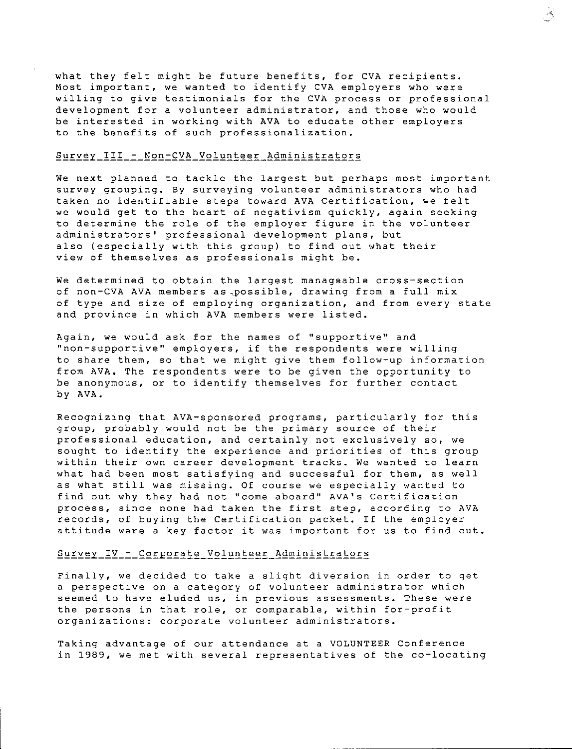what they felt might be future benefits, for CVA recipients. **Most important, we wanted to identify CVA employers who were**  willing to give testimonials for the CVA process or professional development for a volunteer administrator, and those who would be interested in working with AVA to educate other employers **to the benefits of such professionalization.** 

 $\preceq$ 

### Survey\_III\_-\_Non-CVA\_Volunteer\_Administrators

We next planned to tackle the largest but perhaps most important **survey grouping. By surveying volunteer administrators who had**  taken no identifiable steps toward AVA Certification, we felt we would get to the heart of negativism quickly, again seeking to determine the role of the employer figure in the volunteer **administrators' professional development plans, but**  also (especially with this group) to find out what their view of themselves as professionals might be.

**We determined to obtain the largest manageable cross-section of non-CVA AVA members as,possible, drawing from a full mix**  of type and size of employing organization, and from every state **and province in which AVA members were listed.** 

**Again, we would ask for the names of <sup>11</sup> supportive <sup>1</sup> ' and "non-supportive <sup>11</sup>employers, if the respondents were willing**  to share them, so that we might give them follow-up information from **AVA,** The respondents were to be given the opportunity to **be anonymous, or to identify themselves for further contact**  by AVA.

Recognizing that AVA-sponsored programs, particularly for this group, probably would not be the primary source of their **professional education, and certainly not exclusively so, we sought to identify the experience and priorities of this group within their own career development tracks. We wanted to learn what had been most satisfying and successful for them, as well**  as what still was missing. Of course we especially wanted to find out why they had not "come aboard" AVA's Certification **process, since none had taken the first step, according to AVA**  records, of buying the Certification packet. If the employer attitude were a key factor it was important for us to find out.

#### Survey\_IV\_-\_Corporate\_Volunteer\_Administrators

**Finally, we decided to take a slight diversion in order to get a perspective on a category of volunteer administrator which seemed to have eluded us, in previous assessments. These were the persons in that role, or comparable, within for-profit organizations: corporate volunteer administrators.** 

Taking advantage of our attendance at a VOLUNTEER Conference **in 1989, we met with several representatives of the co-locating**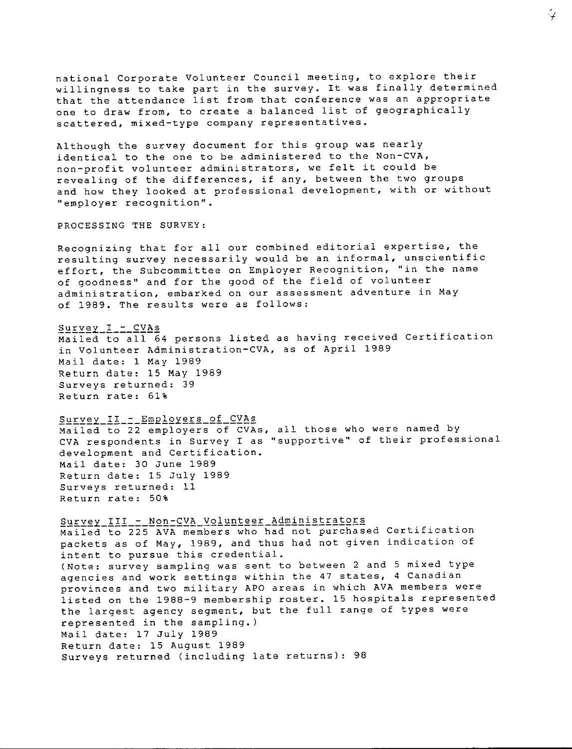national Corporate Volunteer Council meeting, to explore their willingness to take part in the survey. It was finally determined that the attendance list from that conference was an appropriate one to draw from, to create a balanced list of geographically **scattered, mixed-type company representatives.** 

Although the survey document for this group was nearly identical to the one to be administered to the Non-CVA, **non-profit volunteer administrators, we felt it could be revealing of the differences, if any, between the two groups**  and how they looked at professional development, with or without **''employer recognition <sup>11</sup> •** 

PROCESSING THE SURVEY:

Recognizing that for all our combined editorial expertise, the **resulting survey necessarily would be an informal, unscientific effort, the Subcommittee on Employer Recognition, ' <sup>1</sup> in the name**  of goodness" and for the good of the field of volunteer **administration, embarked on our assessment adventure in May**  of 1989. The results were as follows:

### Survey\_I\_-\_CVAs

Mailed to all 64 persons listed as having received Certification in Volunteer Administration-CVA, as of April 1989 Mail date: 1 May 1989 Return date: 15 May 1989 Surveys returned: 39 Return rate: 61%

Survey\_II\_-\_Employers\_of\_CVAs

Mailed to 22 employers of CVAs, all those who were named by **CVA respondents in Survey I as ''supportive'' of their professional**  development and Certification. Mail date: 30 June 1989 Return date: 15 July 1989 Surveys returned: 11 Return rate: 50%

Survey III\_-\_ Non-CVA\_Volunteer\_Administrators Mailed to 225 AVA members who had not purchased Certification packets as of May, 1989, and thus had not given indication of **intent to pursue this credential.**  (Note: survey sampling was sent to between 2 and 5 mixed type **agencies and work settings within the 47 states, 4 Canadian provinces and two military APO areas in which AVA members were**  listed on the 1988-9 membership roster. 15 hospitals represented the largest agency segment, but the full range of types were represented in the sampling.) Mail date: 17 July 1989 Return date: 15 August 1989 Surveys returned (including late returns): 98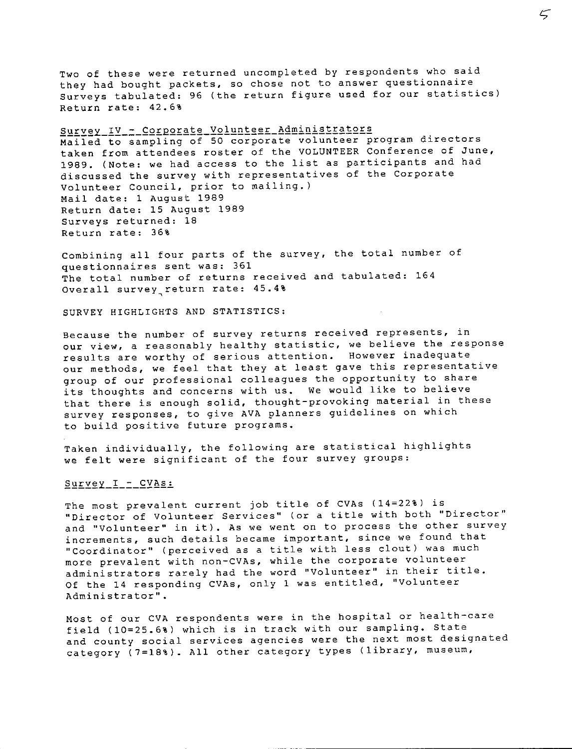Two of these were returned uncompleted by respondents who said they had bought packets, so chose not to answer questionnaire Surveys tabulated: 96 (the return figure used for our statistics) Return rate: 42.6%

Survey\_IV\_=\_Corporate\_Volunteer\_Administrators Mailed to sampling of 50 corporate volunteer program directors taken from attendees roster of the VOLUNTEER Conference of June, 1989. (Note: we had access to the list as participants and had discussed the survey with representatives of the Corporate **Volunteer Council, prior to mailing.)**  Mail date: 1 August 1989 Return date: 15 August 1989 Surveys returned: 18 Return rate: 36%

Combining all four parts of the survey, the total number of questionnaires sent was: 361 The total number of returns received and tabulated: 164 Overall survey.return rate: 45.4%

SURVEY HIGHLIGHTS AND STATISTICS:

**Because the number of survey returns received represents, in our view, a reasonably healthy statistic, we believe the response results are worthy of serious attention. However inadequate**  our methods, we feel that they at least gave this representative group of our professional colleagues the opportunity to share its thoughts and concerns with us. We would like to believe that there is enough solid, thought-provoking material in these **survey responses, to give AVA planners guidelines on which**  to build positive future programs.

Taken individually, the following are statistical highlights we felt were significant of the four survey groups:

## Survey\_I\_-\_CVAs:

The most prevalent current job title of CVAs (14=22%) is **''Director of Volunteer Services'' (or a title with both ''Director' <sup>1</sup> and ''Volunteer'' in it). As we went on to process the other survey increments, such details became important, since we found that <sup>11</sup> Coordinator <sup>11</sup>(perceived as a title with less clout) was much more prevalent with non-CVAs, while the corporate volunteer administrators rarely had the word <sup>1</sup> 'Volunteer <sup>11</sup>in their title.**  Of the 14 responding CVAs, only 1 was entitled, "Volunteer **Administrator''.** 

Most of our CVA respondents were in the hospital or health-care field (10=25.6%) which is in track with our sampling. State **and county social services agencies were the next most designated**  category (7=18%). All other category types (library, museum,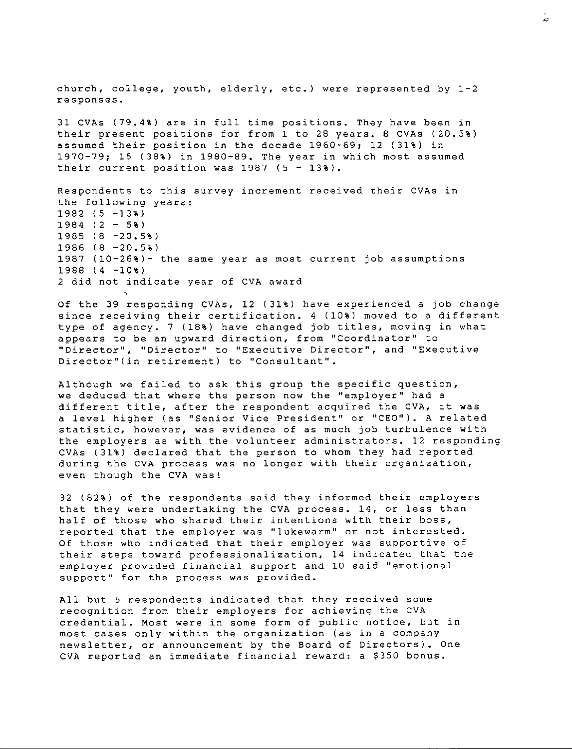church, college, youth, elderly, etc.) were represented by  $1-2$ **responses.**  31 CVAs (79.4%) are in full time positions. They have been in their present positions for from 1 to 28 years. 8 CVAs (20.5%) assumed their position in the decade 1960-69; 12 (31%) in 1970-79; 15 (38%) in 1980-89. The year in which most assumed their current position was  $1987$  (5 - 13%). **Respondents to this survey increment received their CVAs in**  the following years: 1982 (5 -13%)  $1984$  (2 - 5%) 1985 (8 -20.5%) 1986 (8 -20.5%) 1987 (10-26%)- the same year as most current job assumptions 1988 (4 -10%) 2 did not indicate year of CVA award

Of the 39 responding CVAs, 12 (31%) have experienced a job change since receiving their certification. 4 (10%) moved to a different type of agency. 7 (18%) have changed job titles, moving in what **appears to be an upward direction, from ' <sup>1</sup> Coordinator'' to ''Director'', ''Director'' to ''Executive Director'', and ''Executive Director <sup>11</sup> (in retirement) to ''Consultant''.** 

Although we failed to ask this group the specific question, **we deduced that where the person now the ''ernployer <sup>11</sup>had a**  different title, after the respondent acquired the CVA, it was **a level higher (as ''Senior Vice President'' or ''CEO''). A related statistic, however, was evidence of as much job turbulence with**  the employers as with the volunteer administrators. 12 responding CVAs (31%) declared that the person to whom they had reported **during the CVA process was no longer with their organization,**  even though the CVA was!

32 (82%) of the respondents said they informed their employers that they were undertaking the CVA process. 14, or less than half of those who shared their intentions with their boss, **reported that the employer was ''lukewarm'' or not interested.**  Of those who indicated that their employer was supportive of their steps toward professionalization, 14 indicated that the employer provided financial support and 10 said "emotional **support'' for the process was provided.** 

All but 5 respondents indicated that they received some **recognition from their employers for achieving the CVA credential. Most were in some form of public notice, but in most cases only within the organization (as in a company newsletter, or announcement by the Board of Directors). One**  CVA reported an immediate financial reward: a \$350 bonus.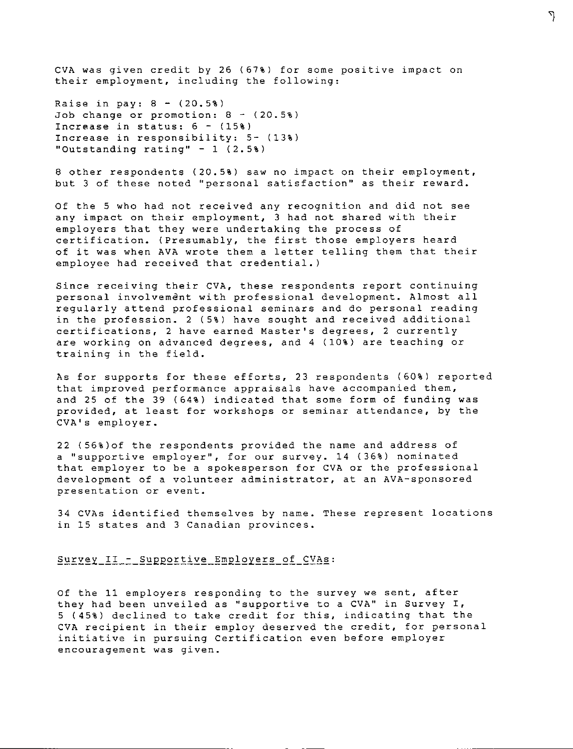CVA was given credit by 26 (67%) for some positive impact on their employment, including the following:

٦

Raise in pay:  $8 - (20.5%)$ Job change or promotion:  $8 - (20.5%)$ Increase in status: 6 - (15%) Increase in responsibility: 5- (13%) "Outstanding rating" - 1 (2.5%)

8 other respondents (20.5%) saw no impact on their employment, **but 3 of these noted ''personal satisfaction'' as their reward.** 

Of the 5 who had not received any recognition and did not see any impact on their employment, 3 had not shared with their employers that they were undertaking the process of certification. (Presumably, the first those employers heard of it was when AVA wrote them a letter telling them that their employee had received that credential.)

**Since receiving their CVA, these respondents report continuing**  personal involvement with professional development. Almost all regularly attend professional seminars and do personal reading in the profession. 2 (5%) have sought and received additional **certifications, 2 have earned Master's degrees, 2 currently**  are working on advanced degrees, and 4 (10%) are teaching or training in the field.

As for supports for these efforts, 23 respondents (60%) reported **that improved performance appraisals have accompanied them,**  and 25 of the 39 (64%) indicated that some form of funding was provided, at least for workshops or seminar attendance, by the CVA's employer.

22 (56%)of the respondents provided the name and address of **a ''supportive employer'', for our survey. 14 {36%) nominated**  that employer to be a spokesperson for CVA or the professional **development of a volunteer administrator, at an AVA-sponsored presentation or event.** 

34 CVAs identified themselves by name. These represent locations **in 15 states and 3 Canadian provinces.** 

#### Survey\_II\_-\_Supportive\_Employers\_of\_CVAs:

Of the 11 employers responding to the survey we sent, after **they had been unveiled as ''supportive to a CVA'' in Survey I,**  5 (45%) declined to take credit for this, indicating that the CVA recipient in their employ deserved the credit, for personal **initiative in pursuing Certification even before employer encouragement was given.**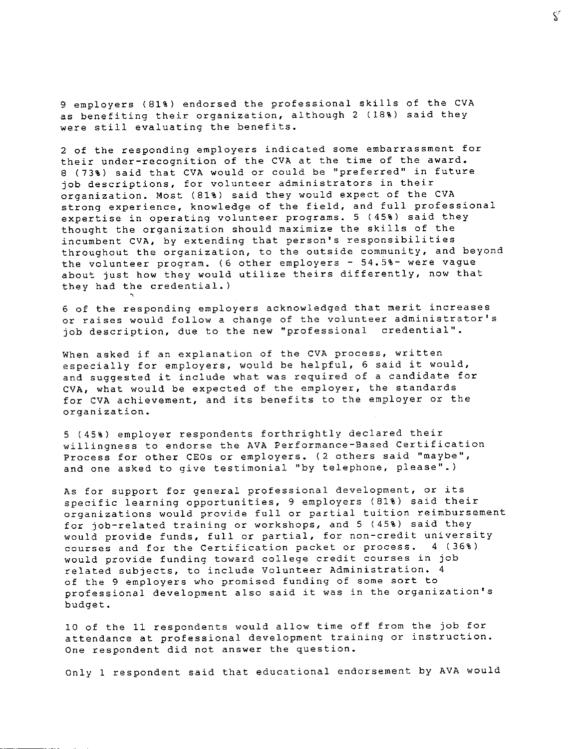9 employers (81%) endorsed the professional skills of the CVA as benefiting their organization, although 2 (18%) said they were still evaluating the benefits.

2 of the responding employers indicated some embarrassment for their under-recognition of the CVA at the time of the award. 8 (73%) said that CVA would or could be "preferred" in future **job descriptions, for volunteer administrators in their**  organization. Most (81%) said they would expect of the CVA strong experience, knowledge of the field, and full professional expertise in operating volunteer programs. 5 (45%) said they thought the organization should maximize the skills of the incumbent CVA, by extending that person's responsibilities throughout the organization, to the outside community, and beyond the volunteer program. (6 other employers - 54.5%- were vague about just how they would utilize theirs differently, now that they had the credential.)

6 of the responding employers acknowledged that merit increa **or raises would follow a change of the volunteer administrator's job description, due to the new ''professional credential''.** 

'

When asked if an explanation of the CVA process, written especially for employers, would be helpful, 6 said it would, and suggested it include what was required of a candidate for CVA, what would be expected of the employer, the standards for CVA achievement, and its benefits to the employer or the **organization.** 

5 (45%) employer respondents forthrightly declared their willingness to endorse the **AVA** Performance-Based Certification **Process for other CEOs or employers. (2 others said <sup>11</sup>maybe'', and one asked to give testimonial ''by telephone, please''.)** 

As for support for general professional development, or its specific learning opportunities, 9 employers (81%) said their **organizations would provide full or partial tuition reimbursement**  for job-related training or workshops, and 5 (45%) said they would provide funds, full or partial, for non-credit university courses and for the Certification packet or process. 4 (36%) would provide funding toward college credit courses in job related subjects, to include Volunteer Administration. 4 **of the 9 employers who promised funding of some sort to professional development also said it was in the organization's**  budget.

10 of the 11 respondents would allow time off from the job for **attendance at professional development training or instruction. One respondent did not answer the question.** 

Only 1 respondent said that educational endorsement by AVA would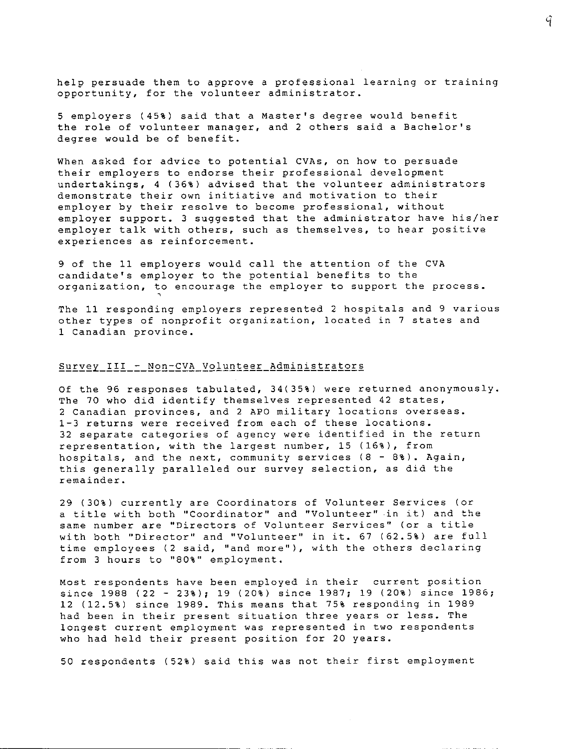help persuade them to approve a professional learning or training **opportunity, for the volunteer administrator.** 

5 employers (45%) said that a Master's degree would benefit **the role of volunteer manager, and 2 others said a Bachelor's**  degree would be of benefit.

When asked for advice to potential CVAs, on how to persuade their employers to endorse their professional development undertakings, 4 (36%) advised that the volunteer administrators **demonstrate their own initiative and motivation to their**  employer by their resolve to become professional, without employer support. 3 suggested that the administrator have his/her employer talk with others, such as themselves, to hear positive **experiences as reinforcement.** 

9 of the 11 employers would call the attention of the CVA candidate's employer to the potential benefits to the organization, to encourage the employer to support the process.

The 11 responding employers represented 2 hospitals and 9 various other types of nonprofit organization, located in 7 states and **1 Canadian province.** 

# Survey\_III\_-\_Non-CVA\_Volunteer\_Administrators

'

Of the 96 responses tabulated, 34(35%) were returned anonymously. The 70 who did identify themselves represented 42 states, **2 Canadian provinces, and 2 APO military locations overseas. 1-3 returns were received from each of these locations. 32 separate categories of agency were identified in the return**  representation, with the largest number, 15 (16%), from **hospitals, and the next, community services (8** - 8%). **Again,**  this generally paralleled our survey selection, as did the **remainder.** 

29 (30%) currently are Coordinators of Volunteer Services (or **a title with both ''Coordinator'' and ''Volunteer'' in it) and the same number are ''Directors of Volunteer Services'' (or a title with both ''Director'' and <sup>11</sup> Volunteer <sup>11</sup>in it. 67 (62.5%) are full time employees (2 said, ''and more' <sup>1</sup> ), with the others declaring from 3 hours to <sup>11</sup> 80%'' employment.** 

**Most respondents have been employed in their current position**  since 1988 (22 - 23%); 19 (20%) since 1987; 19 (20%) since 1986; 12 (12.5%) since 1989. This means that 75% responding in 1989 **had been in their present situation three years or less. The longest current employment was represented in two respondents**  who had held their present position for 20 years.

50 respondents (52%) said this was not their first employment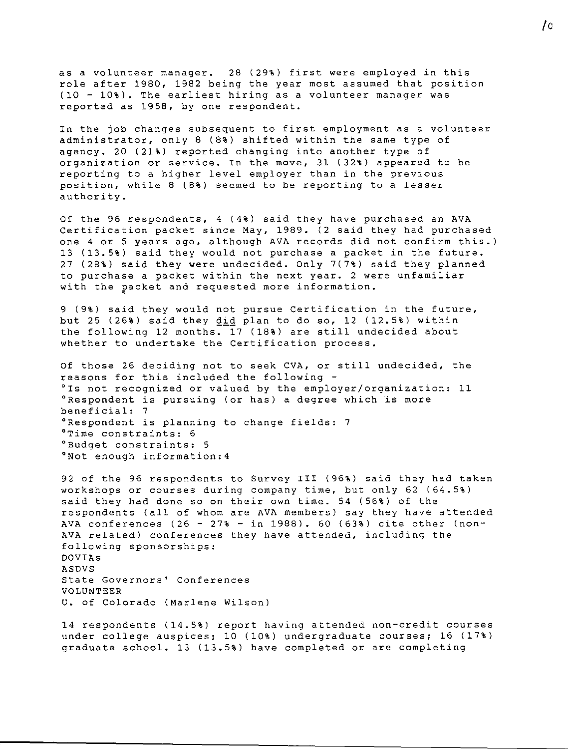as a volunteer manager. 28 (29%) first were employed in this role after 1980, 1982 being the year most assumed that position (10 - 10%). The earliest hiring as a volunteer manager was reported as 1958, by one respondent.

In the job changes subsequent to first employment as a volunteer administrator, only 8 (8%) shifted within the same type of agency. 20 (21%) reported changing into another type of organization or service. In the move, 31 (32%) appeared to be reporting to a higher level employer than in the previous position, while 8 (8%) seemed to be reporting to a lesser authority.

Of the 96 respondents, 4 (4%) said they have purchased an AVA Certification packet since May, 1989. (2 said they had purchased one 4 or 5 years ago, although AVA records did not confirm this.) 13 (13.5%) said they would not purchase a packet in the future. 27 (28%) said they were undecided. Only 7(7%) said they planned **to purchase a packet within the next year. 2 were unfamiliar**  with the packet and requested more information. '

9 (9%) said they would not pursue Certification in the future, but 25 (26%) said they  $\underline{did}$  plan to do so, 12 (12.5%) within the following 12 months. 17 (18%) are still undecided about whether to undertake the Certification process.

Of those 26 deciding not to seek CVA, or still undecided, the reasons for this included the following - °Is not recognized or valued by the employer/organization: 11 **<sup>0</sup> Respondent is pursuing (or has) a degree which is more**  beneficial: 7 <sup>0</sup> Respondent is planning to change fields: 7 **<sup>0</sup> Time constraints: 6** <sup>0</sup> Budget constraints: 5 <sup>0</sup> Not enough information:4

92 of the 96 respondents to Survey III (96%) said they had taken workshops or courses during company time, but only 62 (64.5%) said they had done so on their own time. 54 (56%) of the respondents (all of whom are AVA members) say they have attended AVA conferences (26 - 27% - in 1988). 60 (63%) cite other (non-AVA related) conferences they have attended, including the following sponsorships: DOVIAs ASDVS **State Governors' Conferences**  VOLUNTEER U. of Colorado (Marlene Wilson)

14 respondents (14.5%) report having attended non-credit courses under college auspices; 10 (10%) undergraduate courses; 16 (17%) graduate school. 13 (13.5%) have completed or are completing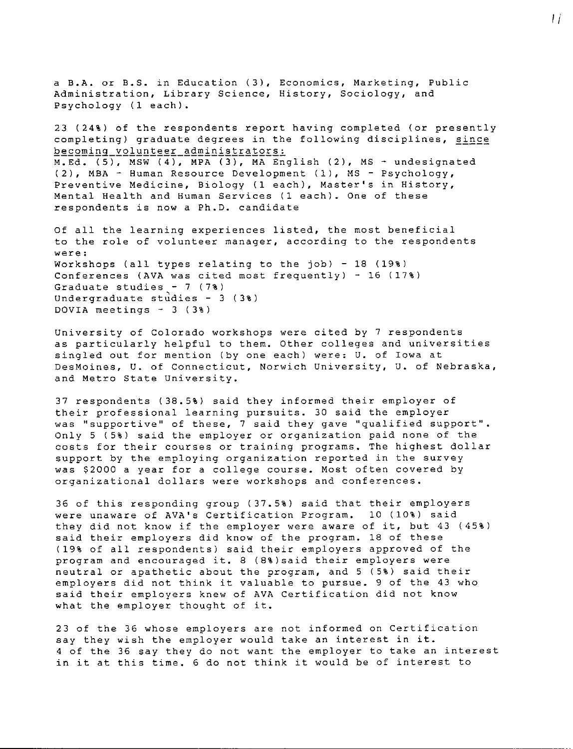a B.A. or B.S. in Education (3), Economics, Marketing, Publ **Administration, Library Science, History, Sociology, and**  Psychology (1 each).

23 **(24%)** of the respondents report having completed (or presently completing) graduate degrees in the following disciplines, since **becoming\_volunteer\_administrators:**  M.Ed. (5), MSW (4), MPA (3), MA English (2), MS - undesignated (2), MBA - Human Resource Development (1), MS - Psychology, Preventive Medicine, Biology (1 each), Master's in History, Mental Health and Human Services (1 each). One of these respondents is now a Ph.D. candidate

Of all the learning experiences listed, the most beneficial **to the role of volunteer manager, according to the respondents were:**  Workshops (all types relating to the job) - 18 (19%) Conferences (AVA was cited most frequently) - 16 (17%) Graduate studies  $-7$  (7%) Undergraduate studies  $-$  3 (3%) DOVIA meetings  $-3$  (3%)

University of Colorado workshops were cited by 7 respondents as particularly helpful to them. Other colleges and universities singled out for mention (by one each) were: U. of Iowa at **DesMoines, U. of Connecticut, Norwich University, u. of Nebraska,**  and Metro State University.

37 respondents (38.5%) said they informed their employer of their professional learning pursuits. 30 said the employer was "supportive" of these, 7 said they gave "qualified support". Only 5 (5%) said the employer or organization paid none of the costs for their courses or training programs. The highest dollar support by the employing organization reported in the survey was \$2000 a year for a college course. Most often covered by **organizational dollars were workshops and conferences.** 

36 of this responding group (37.5%) said that their employers were unaware of AVA's Certification Program. 10 (10%) said they did not know if the employer were aware of it, but 43 (45%) said their employers did know of the program. 18 of these (19% of all respondents) said their employers approved of the program and encouraged it. 8 (8%)said their employers were neutral or apathetic about the program, and 5 (5%) said their employers did not think it valuable to pursue. 9 of the 43 who said their employers knew of AVA Certification did not know what the employer thought of it.

23 of the 36 whose employers are not informed on Certification say they wish the employer would take an interest in it. 4 of the 36 say they do not want the employer to take an interest in it at this time. 6 do not think it would be of interest to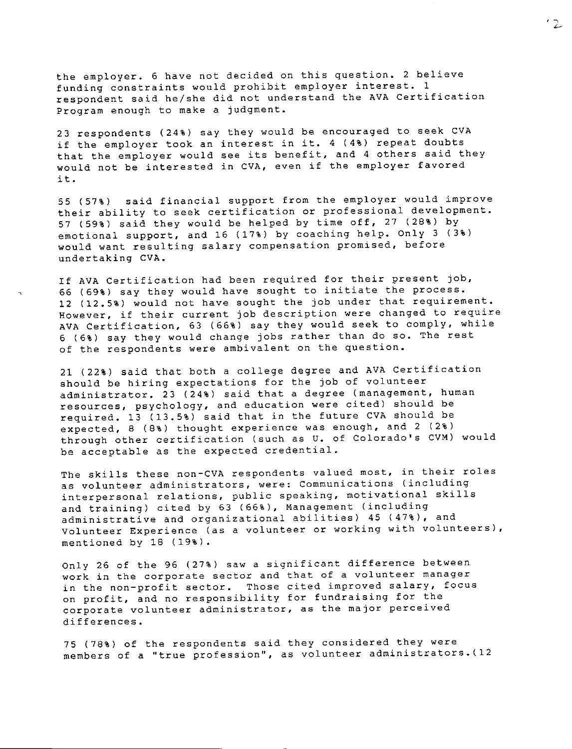the employer. 6 have not decided on this question. 2 believe funding constraints would prohibit employer interest. l respondent said he/she did not understand the AVA Certification Program enough to make a judgment.

23 respondents (24%) say they would be encouraged to seek CVA if the employer took an interest in it. 4 (4%) repeat doubts that the employer would see its benefit, and 4 others said they would not be interested in CVA, even if the employer favored it.

55 (57%) said financial support from the employer would improve their ability to seek certification or professional development. 57 (59%) said they would be helped by time off, 27 (28%) by emotional support, and 16 (17%) by coaching help. Only 3 (3%) **would want resulting salary compensation promised, before**  undertaking CVA.

If AVA Certification had been required for their present job, 66 (69%) say they would have sought to initiate the process. 12 (12.5%) would not have sought the job under that requirement. **However, if their current job description were changed to require**  AVA Certification, 63 (66%) say they would seek to comply, while 6 (6%) say they would change jobs rather than do so. The rest of the respondents were ambivalent on the question.

21 (22%) said that both a college degree and AVA Certification should be hiring expectations for the job of volunteer administrator. 23 (24%) said that a degree (management, human resources, psychology, and education were cited) should be required. 13 (13.5%) said that in the future CVA should be expected, 8 (8%) thought experience was enough, and 2 (2%) through other certification (such as U. of Colorado's CVM) would be acceptable as the expected credential.

The skills these non-CVA respondents valued most, in their roles **as volunteer administrators, were: Communications (including interpersonal relations, public speaking, motivational skills**  and training) cited by 63 (66%), Management (including administrative and organizational abilities) 45 (47%), and **Volunteer Experience (as a volunteer or working with volunteers),**  mentioned by 18 (19%).

Only 26 of the 96 (27%) saw a significant difference between **work in the corporate sector and that of a volunteer manager in the non-profit sector. Those cited improved salary, focus**  on profit, and no responsibility for fundraising for the **corporate volunteer administrator, as the major perceived**  differences.

75 (78%) of the respondents said they considered they were **members of a ''true profession'', as volunteer administrators.(12**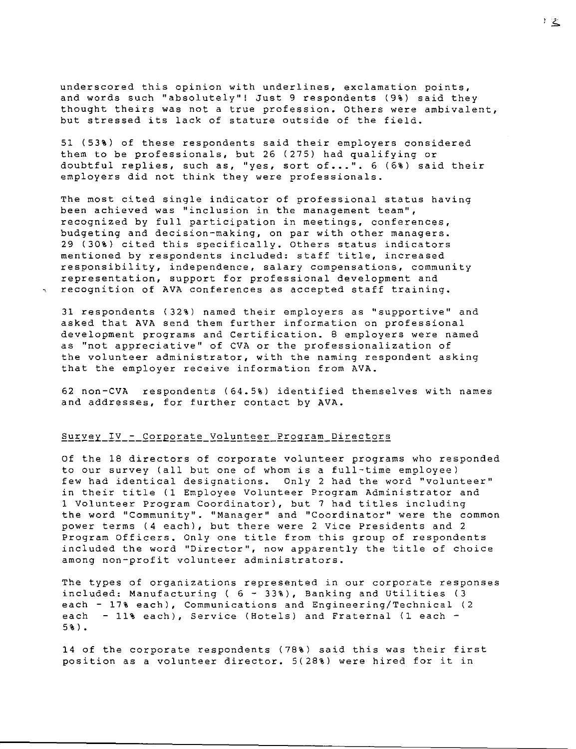**underscored this opinion with underlines, exclamation points,**  and words such "absolutely"! Just 9 respondents (9%) said they **thought theirs was not a true profession. Others were ambivalent,**  but stressed its lack of stature outside of the field.

51 (53%) of these respondents said their employers considered them to be professionals, but 26 (275) had qualifying or doubtful replies, such as, "yes, sort of ••. ". 6 (6%) said their employers did not think they were professionals.

The most cited single indicator of professional status having **been achieved was ''inclusion in the management team'', recognized by full participation in meetings, conferences,**  budgeting and decision-making, on par with other managers. 29 (30%) cited this specifically. Others status indicators mentioned by respondents included: staff title, increased **responsibility, independence, salary compensations, community**  representation, support for professional development and <sup>~</sup>**recognition of AVA conferences as accepted staff training.** 

31 respondents (32%) named their employers as "supportive" and asked that AVA send them further information on professional development programs and Certification. 8 employers were named **as ''not appreciative'' of CVA or the professionalization of the volunteer administrator, with the naming respondent asking**  that the employer receive information from AVA.

62 non-CVA respondents (64.5%) identified themselves with names and addresses, for further contact by AVA.

## Survey\_IV\_-\_Corporate\_Volunteer\_Program\_Directors

Of the 18 directors of corporate volunteer programs who responded to our survey (all but one of whom is a full-time employee) few had identical designations. Only 2 had the word "volunteer" in their title (1 Employee Volunteer Program Administrator and 1 Volunteer Program Coordinator), but 7 had titles including **the word ''Community''. ' <sup>1</sup>Manager <sup>11</sup>and ''Coordinator'' were the common**  power terms (4 each), but there were 2 Vice Presidents and 2 Program Officers. Only one title from this group of respondents **included the word <sup>11</sup> Director <sup>11</sup> , now apparently the title of choice among non-profit volunteer administrators.** 

**The types of organizations represented in our corporate responses**  included: Manufacturing ( 6 - 33%), Banking and Utilities (3 each - 17% each), Communications and Engineering/Technical (2 each - 11% each), Service (Hotels) and Fraternal (1 each - 5%).

14 of the corporate respondents (78%) said this was their first position as a volunteer director. 5(28%) were hired for it in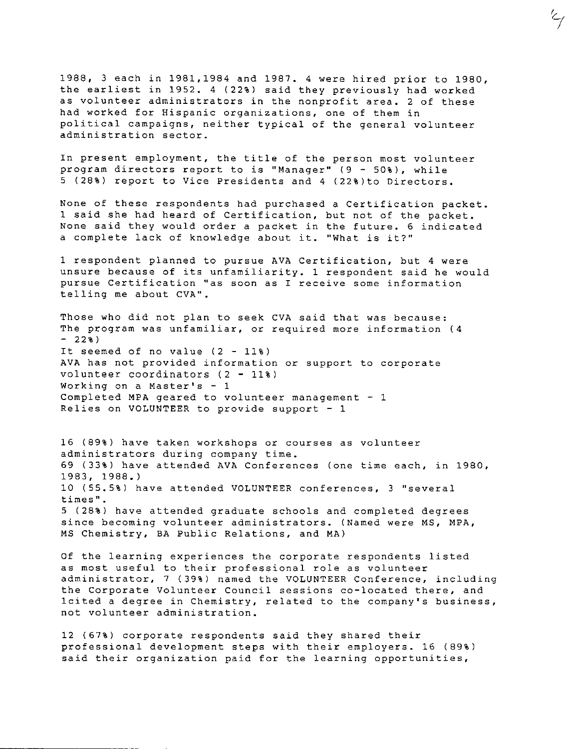1988, 3 each *in* 1981,1984 and 1987. 4 were hired prior to 1980, the earliest *in* 1952. 4 (22%) said they previously had worked **as volunteer administrators in the nonprofit area. 2 of these had worked for Hispanic organizations, one of them in**  political campaigns, neither typical of the general volunteer **administration sector.** 

 $\zeta_{\mathcal{F}}$ 

In present employment, the title of the person most volunteer **program directors report to is <sup>11</sup> Manager <sup>1</sup> ' (9 - 50%), while**  5 (28%) report to Vice Presidents and 4 (22%)to Directors.

None of these respondents had purchased a Certification packet. 1 said she had heard of Certification, but not of the packet. None said they would order a packet in the future. 6 indicated **a complete lack of knowledge about it. <sup>11</sup> What is it?''** 

1 respondent planned to pursue AVA Certification, but 4 were **unsure because of its unfamiliarity. 1 respondent said he would pursue Certification <sup>11</sup> as soon as I receive some information**  telling me about CVA".

Those who did not plan to seek CVA said that was because: **The program was unfamiliar, or required more information (4**   $-22%$ It seemed of no value **(2** - 11%) **AVA** has not provided information or support to corporate volunteer coordinators (2 - 11%) **Working on a Master's - 1**  Completed **MPA** geared to volunteer management - 1 Relies on VOLUNTEER to provide support - 1

16 (89%) have taken workshops or courses as volunteer **administrators during company time.**  69 (33%) have attended AVA Conferences (one time each, in 1980, 1983, 1988.) 10 (55.51) have attended VOLUNTEER conferences, 3 "several **times <sup>11</sup> •**  5 (281) have attended graduate schools and completed degrees **since becoming volunteer administrators. (Named were MS, MPA,**  MS Chemistry, BA Public Relations, and MA)

**Of the learning experiences the corporate respondents listed as most useful to their professional role as volunteer**  administrator, 7 (39%) named the VOLUNTEER Conference, including **the Corporate Volunteer Council sessions co-located there, and lcited a degree in Chemistry, related to the company's business, not volunteer administration.** 

12 (671) corporate respondents said they shared their professional development steps with their employers. 16 (89%) **said their organization paid for the learning opportunities,**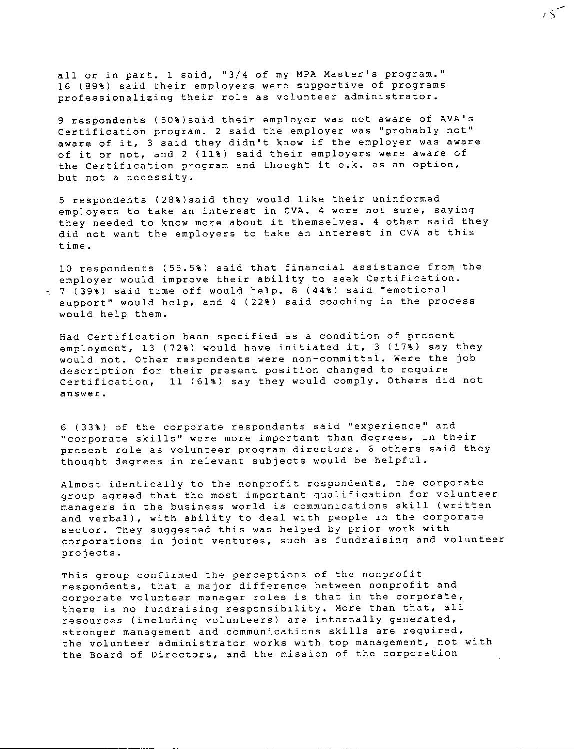all or in part. 1 said, "3/4 of my MPA Master's program.'' 16 (89%) said their employers were supportive of programs **professionalizing their role as volunteer administrator.** 

9 respondents (50%)said their employer was not aware of AVA's Certification program. 2 said the employer was "probably not" aware of it, 3 said they didn't know if the employer was aware of it or not, and 2 (11%) said their employers were aware of the Certification program and thought it o.k. as an option, but not a necessity.

 $, \,$ 

5 respondents (28%)said they would like their uninformed **employers to take an interest in CVA. 4 were not sure, saying**  they needed to know more about it themselves. 4 other said they did not want the employers to take an interest in CVA at this **time.** 

10 respondents (55.5%) said that financial assistance from the employer would improve their ability to seek Certification. , 7 (39%) said time off would help. 8 (44%) said "emotional support" would help, and 4 (22%) said coaching in the process would help them.

Had Certification been specified as a condition of present employment, 13 (72%) would have initiated it, 3 (17%) say they would not. Other respondents were non-committal. Were the job **description for their present position changed to require**  Certification, 11 (61%) say they would comply. Others did not **answer.** 

**6 (33%) of the corporate respondents said <sup>11</sup> experience <sup>11</sup>and ''corporate skills'' were more important than degrees, in their**  present role as volunteer program directors. 6 others said they thought degrees in relevant subjects would be helpful.

Almost identically to the nonprofit respondents, the corporate group agreed that the most important qualification for volunteer **managers in the business world is communications skill (written**  and verbal), with ability to deal with people in the corporate sector. They suggested this was helped by prior work with **corporations in joint ventures, such as fundraising and volunteer**  projects.

This group confirmed the perceptions of the nonprofit **respondents, that a major difference between nonprofit and corporate volunteer manager roles is that in the corporate,**  there is no fundraising responsibility. More than that, all **resources (including volunteers) are internally generated, stronger management and communications skills are required, the volunteer administrator works with top management, not with the Board of Directors, and the mission of the corporation**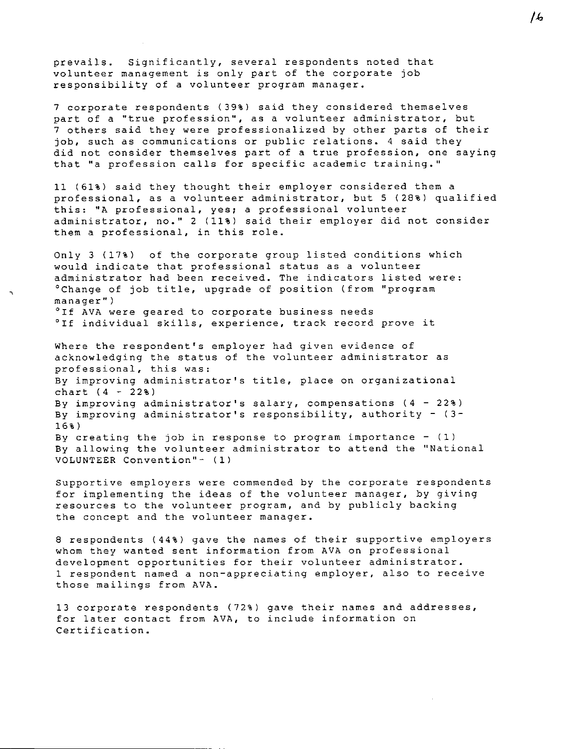prevails. Significantly, several respondents noted that volunteer management is only part of the corporate job responsibility of a volunteer program manager.

7 corporate respondents (39%) said they considered themselves **part of a ''true profession'', as a volunteer administrator, but**  7 others said they were professionalized by other parts of their **job, such as communications or public relations. 4 said they did not consider themselves part of a true profession, one saying that ''a profession calls for specific academic training.''** 

11 (61%) said they thought their employer considered them a professional, as a volunteer administrator, but 5 (28%) qualified this: "A professional, yes; a professional volunteer administrator, no." 2 (11%) said their employer did not consider **them a professional, in this role.** 

Only 3 (17%) of the corporate group listed conditions which would indicate that professional status as a volunteer **administrator had been received. The indicators listed were:**  "Change of job title, upgrade of position (from "program **manager") <sup>0</sup> If AVA were geared to corporate business needs** 

"If individual skills, experience, track record prove it

Where the respondent's employer had given evidence of acknowledging the status of the volunteer administrator as **professional, this was: By improving administrator's title, place on organizational**  chart (4 - **22%) By improving administrator's salary, compensations (4 - 22%)**  By improving administrator's responsibility, authority -  $(3 -$ 16%) By creating the job in response to program importance  $-$  (1) By allowing the volunteer administrator to attend the "National VOLUNTEER Convention"- (1)

**Supportive employers were commended by the corporate respondents**  for implementing the ideas of the volunteer manager, by giving resources to the volunteer program, and by publicly backing **the concept and the volunteer manager.** 

8 respondents **(44%)** gave the names of their supportive employers **whom they wanted sent information from AVA on professional development opportunities for their volunteer administrator. 1 respondent named a non-appreciating employer, also to receive**  those mailings from AVA.

13 corporate respondents (72%) gave their names and addresses, for later contact from AVA, to include information on Certification.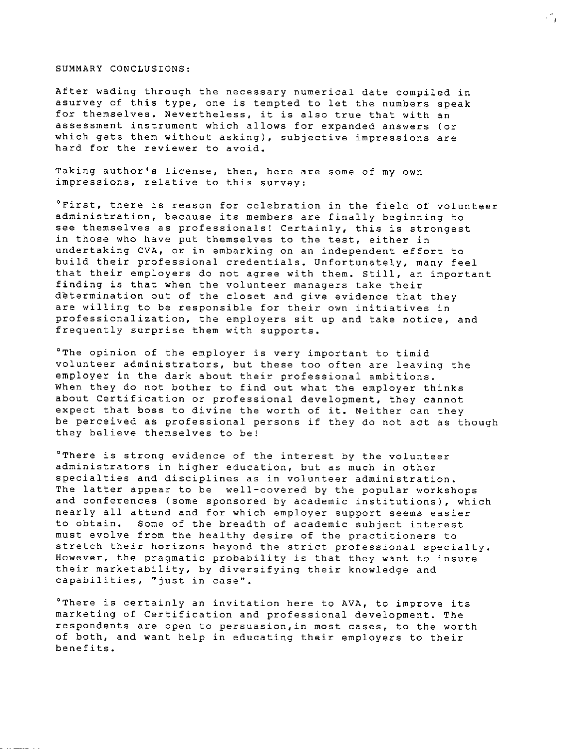#### SUMMARY CONCLUSIONS:

After wading through the necessary numerical date compiled in asurvey of this type, one is tempted to let the numbers speak **for themselves. Nevertheless, it is also true that with an assessment instrument which allows for expanded answers (or which gets them without asking), subjective impressions are hard for the reviewer to avoid.** 

 $\mathcal{L}_{\mathcal{A}}$ 

**Taking author's license, then, here are some of my own impressions, relative to this survey:** 

**°First, there is reason for celebration in the field of volunteer administration, because its members are finally beginning to see themselves as professionals! Certainly, this is strongest in those who have put themselves to the test, either in**  undertaking CVA, or in embarking on an independent effort to build their professional credentials. Unfortunately, many feel that their employers do not agree with them. Still, an important finding is that when the volunteer managers take their determination out of the closet and give evidence that they **are willing to be responsible for their own initiatives in professionalization, the employers sit up and take notice, and**  frequently surprise them with supports.

°The opinion of the employer is very important to timi **volunteer administrators, but these too often are leaving the**  employer in the dark about their professional ambitions. When they do not bother to find out what the employer thinks about Certification or professional development, they cannot expect that boss to divine the worth of it. Neither can they be perceived as professional persons if they do not act as though they believe themselves to be!

 $^{\circ}$  There is strong evidence of the interest by the volunt **administrators in higher education, but as much in other specialties and disciplines as in volunteer administration.**  The latter appear to be well-covered by the popular workshops **and conferences (some sponsored by academic institutions), which**  nearly all attend and for which employer support seems easier to obtain. Some of the breadth of academic subject interest must evolve from the healthy desire of the practitioners to stretch their horizons beyond the strict professional specialty. However, the pragmatic probability is that they want to insure their marketability, by diversifying their knowledge and **capabilities, ''just in case''.** 

**<sup>0</sup> There is certainly an invitation here to AVA, to improve its**  marketing of Certification and professional development. The **respondents are open to persuasion,in most cases, to the worth**  of both, and want help in educating their employers to their benefits.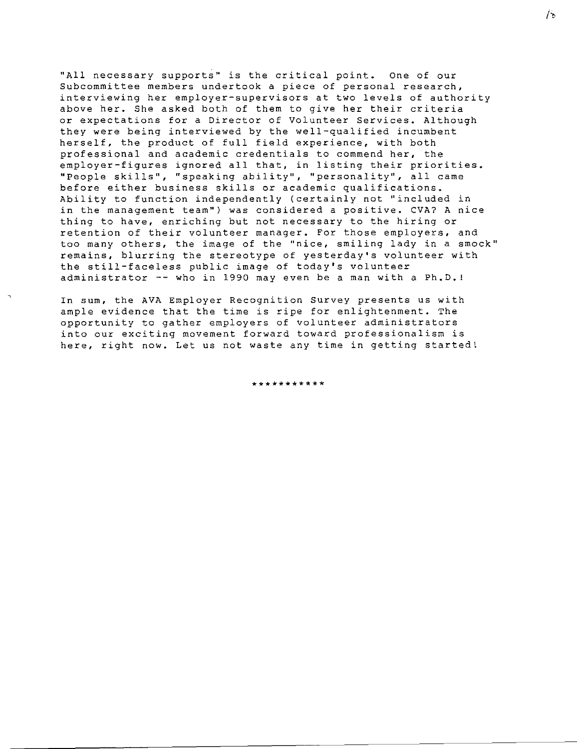**''All necessary supports'' is the critical point. One of our Subcommittee members undertook a piece of personal research, interviewing her employer-supervisors at two levels of authority**  above her. She asked both of them to give her their criteria or expectations for a Director of Volunteer Services. Although they were being interviewed by the well-qualified incumbent herself, the product of full field experience, with both **professional and academic credentials to commend her, the**  employer-figures ignored all that, in listing their priorities. **''People skills'', ''speaking ability'', ' <sup>1</sup> personality' <sup>1</sup> , all came before either business skills or academic qualifications.**  Ability to function independently (certainly not ''included in **in the management team <sup>11</sup> ) was considered a positive. CVA? A nice thing to have, enriching but not necessary to the hiring or retention of their volunteer manager. For those employers, and too many others, the image of the ''nice, smiling lady in a smock'' remains, blurring the stereotype of yesterday's volunteer with**  the still-faceless public image of today's volunteer administrator -- who in 1990 may even be a man with a Ph.D.!

**In sum, the AVA Employer Recognition Survey presents us with**  ample evidence that the time is ripe for enlightenment. The opportunity to gather employers of volunteer administrators **into our exciting movement forward toward professionalism is here, right now. Let us not waste any time in getting startedt** 

 $\ddot{\phantom{0}}$ 

\*\*\*\*\*\*\*\*\*\*\*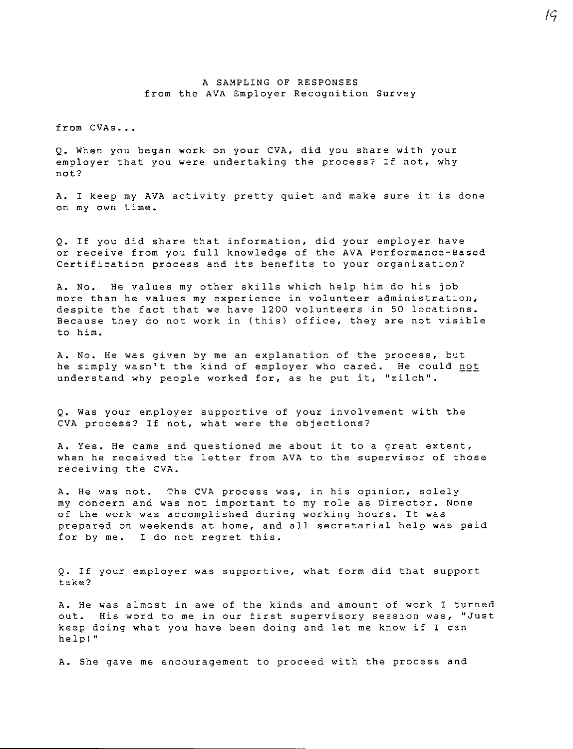#### A SAMPLING OF RESPONSES from the AVA Employer Recognition Survey

from CVAs...

Q. When you began work on your CVA, did you share with your employer that you were undertaking the process? If not, why **not?** 

A. I keep my AVA activity pretty quiet and make sure it is done **on my own time.** 

Q. If you did share that information, did your employer have or receive from you full knowledge of the AVA Performance-Based **Certification process and its benefits to your organization?** 

A. No. He values my other skills which help him do his job **more than he values my experience in volunteer administration,**  despite the fact that we have 1200 volunteers in 50 locations. Because they do not work in (this) office, they are not visible to him.

**A. No. He was given by me an explanation of the process, but**  he simply wasn't the kind of employer who cared. He could not **understand why people worked for, as he put it, ''zilch''.** 

Q. Was your employer supportive of your involvement with the CVA process? If not, what were the objections?

**A. Yes. He came and questioned me about it to a great extent,**  when he received the letter from AVA to the supervisor of those receiving the CVA.

**A. He was not. The CVA process was, in his opinion, solely my concern and was not important to my role as Director. None**  of the work was accomplished during working hours. It was prepared on weekends at home, and all secretarial help was paid for by me. I do not regret this.

Q. If your employer was supportive, what form did that support take?

A. He was almost in awe of the kinds and amount of work I turned **out. His word to me in our first supervisory session was, ''Just**  keep doing what you have been doing and let me know if I can **help! <sup>11</sup>**

**A. She gave me encouragement to proceed with the process and**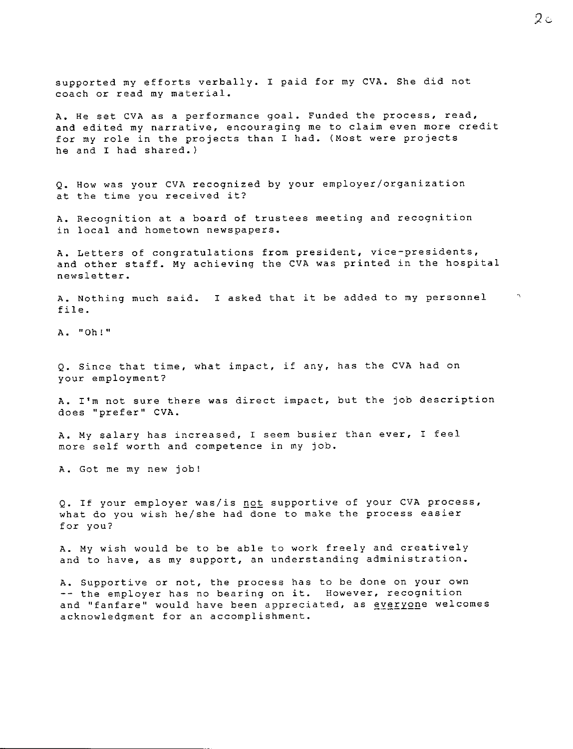supported my efforts verbally. I paid for my CVA. She did not **coach or read my material.** 

A. He set CVA as a performance goal. Funded the process, read, **and edited my narrative, encouraging me to claim even more credit**  for my role in the projects than I had. (Most were projects he and I had shared.)

Q. How was your CVA recognized by your employer/organization **at the time you received it?** 

**A. Recognition at a board of trustees meeting and recognition in local and hometown newspapers.** 

**A. Letters of congratulations from president, vice-presidents,**  and other staff. My achieving the CVA was printed in the hospital newsletter.

A. Nothing much said. I asked that it be added to my person file.

**A. "Oh!"** 

Q. Since that time, what impact, if any, has the CVA had on your employment?

**A. I'm not sure there was direct impact, but the job description does ''prefer'' CVA.** 

**A. My salary has increased, I seem busier than ever, I feel**  more self worth and competence in my job.

A. Got me my new job!

Q. If your employer was/is not supportive of your CVA process, what do you wish he/she had done to make the process easier **for you?** 

A. My wish would be to be able to work freely and creatively **and to have, as my support, an understanding administration.** 

**A. Supportive or not, the process has to be done on your own the employer has no bearing on it. However, recognition**  and "fanfare" would have been appreciated, as everyone welcomes acknowledgment for an accomplishment.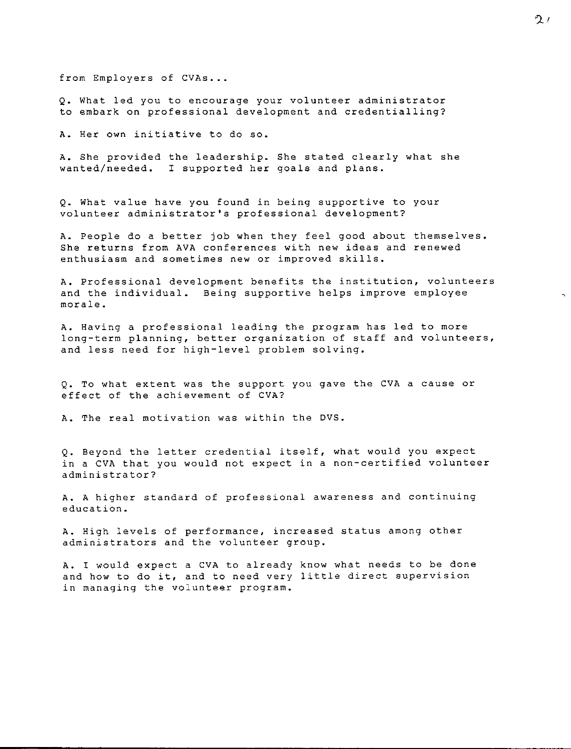from Employers of CVAs...

**Q. What led you to encourage your volunteer administrator**  to embark on professional development and credentialling?

**A. Her own initiative to do so.** 

A. She provided the leadership. She stated clearly what she wanted/needed. I supported her goals and plans.

Q. What value have you found in being supportive to your **volunteer administrator's professional development?** 

A. People do a better job when they feel good about themselves. **She returns from AVA conferences with new ideas and renewed enthusiasm and sometimes new or improved skills.** 

**A. Professional development benefits the institution, volunteers**  and the individual. Being supportive helps improve employee **morale.** 

A. Having a professional leading the program has led to more long-term planning, better organization of staff and volunteers, and less need for high-level problem solving.

Q. To what extent was the support you gave the CVA a cause or effect of the achievement of CVA?

A. The real motivation was within the DVS.

Q. Beyond the letter credential itself, what would you expect in a CVA that you would not expect in a non-certified volunteer **administrator?** 

**A. A higher standard of professional awareness and continuing education.** 

**A. High levels of performance, increased status among other administrators and the volunteer group.** 

A. I would expect a CVA to already know what needs to be done **and how to do it, and to need very little direct supervision in managing the volunteer program.**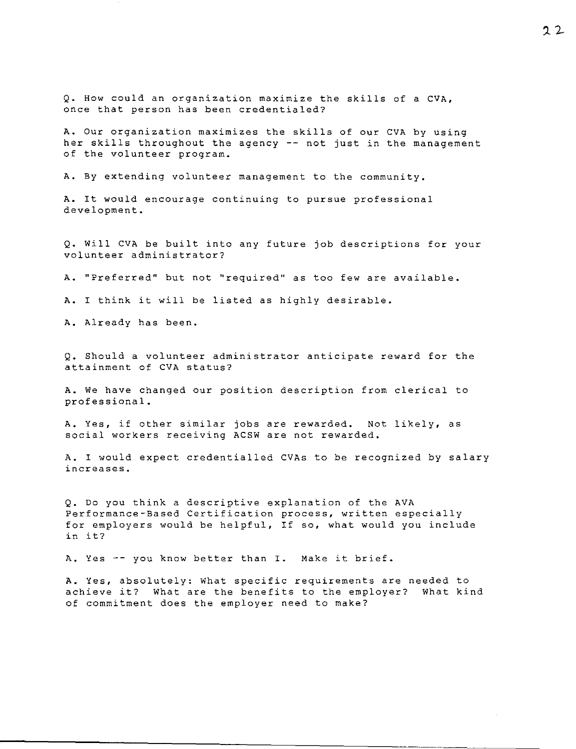Q. How could an organization maximize the skills of a CVA, **once that person has been credentialed?** 

A. Our organization maximizes the skills of our CVA by using her skills throughout the agency -- not just in the management of the volunteer program.

A. By extending volunteer management to the community.

**A. It would encourage continuing to pursue professional**  development.

Q. Will CVA be built into any future job descriptions for your **volunteer administrator?** 

**A. <sup>11</sup> Preferred'' but not ' <sup>1</sup> required <sup>1</sup> ' as too few are available.** 

A. I think it will be listed as highly desirable.

A. Already has been.

Q. Should a volunteer administrator anticipate reward for the attainment of CVA status?

A. We have changed our position description from clerical to professional.

**A. Yes, if other similar jobs are rewarded. Not likely, as social workers receiving ACSW are not rewarded.** 

A. I would expect credentialled CVAs to be recognized by salary **increases.** 

Q. Do you think a descriptive explanation of the AVA **Performance-Based Certification process, written especially**  for employers would be helpful, If so, what would you include **in it?** 

A. Yes -- you know better than I. Make it brief.

**A. Yes, absolutely: What specific requirements are needed to**  achieve it? What are the benefits to the employer? What kind **of commitment does the employer need to make?**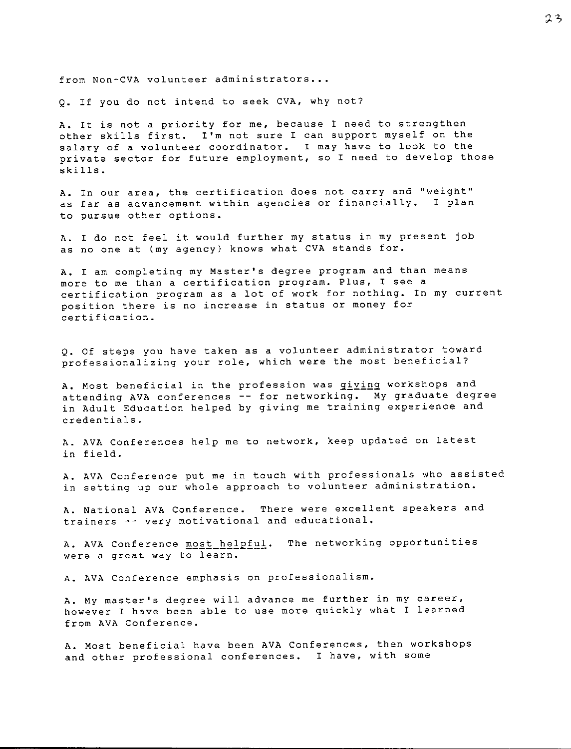**from Non-CVA volunteer administrators .••** 

Q. If you do not intend to seek CVA, why not?

A. It is not a priority for me, because I need to strengthen other skills first. I'm not sure I can support myself on the salary of a volunteer coordinator. I may have to look to the private sector for future employment, so I need to develop those skills.

**A. In our area, the certification does not carry and ''weight'' as far as advancement within agencies or financially. I plan**  to pursue other options.

A. I do not feel it would further my status in my present job as no one at (my agency) knows what CVA stands for.

A. I am completing my Master's degree program and than means **more to me than a certification program. Plus, I see a**  certification program as a lot of work for nothing. In my current **position there is no increase in status or money for certification.** 

Q. Of steps you have taken as a volunteer administrator toward **professionalizing your role, which were the most beneficial?** 

A. Most beneficial in the profession was <u>giving</u> workshops and attending AVA conferences -- for networking. My graduate degr<sub>'</sub> in Adult Education helped **by giving me training experience and**  credentials.

A. AVA Conferences help me to network, keep updated on latest in field.

A. AVA Conference put me in touch with professionals who assisted **in setting up our whole approach to volunteer administration.** 

A. National **AVA** Conference. **There were excellent speakers and trainers -- very motivational and educational.** 

A. AVA Conference most helpful. The networking opportun **were a great way to learn.** 

**A. AVA Conference emphasis on professionalism.** 

**A. My master's degree will advance me further in my career, however I have been able to use more quickly what I learned**  from AVA Conference.

**A.** Most beneficial have been **AVA** Conferences, then workshops **and other professional conferences. I have, with some**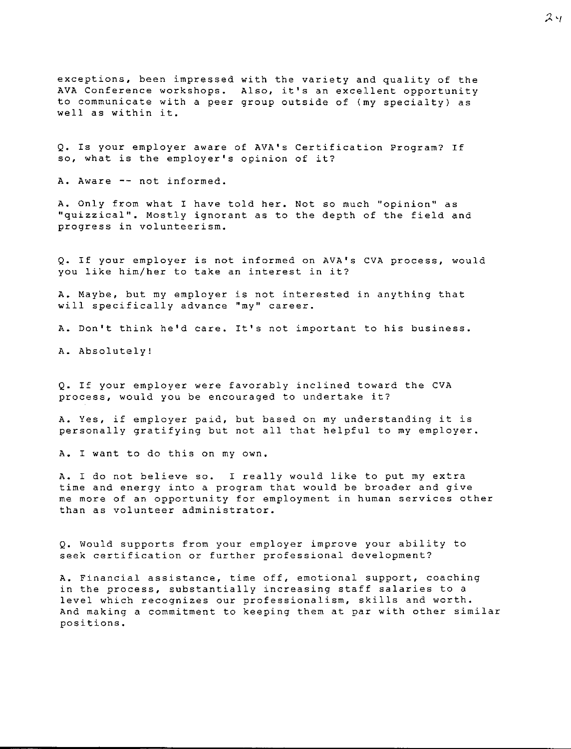exceptions, been impressed with the variety and quality of th AVA Conference workshops. Also, it's an excellent opportun **to communicate with a peer**  group outside of (my specialty) as well as within it.

Q. Is your employer aware of AVA's Certification Program? If **so, what is the employer's opinion of it?** 

A. Aware -- not informed.

**A. Only from what I have told her. Not so much <sup>11</sup> opinion <sup>11</sup>as**  "quizzical". Mostly ignorant as to the depth of the field and **progress in volunteerism.** 

Q. If your employer is not informed on AVA's CVA process, would **you like him/her to take an interest in it?** 

A. Maybe, but my employer is not interested in anything that **will specifically advance ''my'' career.** 

A. Don't think he'd care. It's not important to his business.

A. Absolutely!

Q. If your employer were favorably inclined toward the CVA **process, would you be encouraged to undertake it?** 

A. Yes, if employer paid, but based on my understanding it is personally gratifying but not all that helpful to my employer.

A. I want to do this on my own.

**A.** I do not believe so. I really would like to put my extra time and energy into a program that would be broader and give **me more of an opportunity for employment in human services other than as volunteer administrator.** 

Q. Would supports from your employer improve your ability to **seek certification or further professional development?** 

**A. Financial assistance, time off, emotional support, coaching in the process, substantially increasing staff salaries to a level which recognizes our professionalism, skills and worth.**  And making a commitment to keeping them at par with other similar **positions.**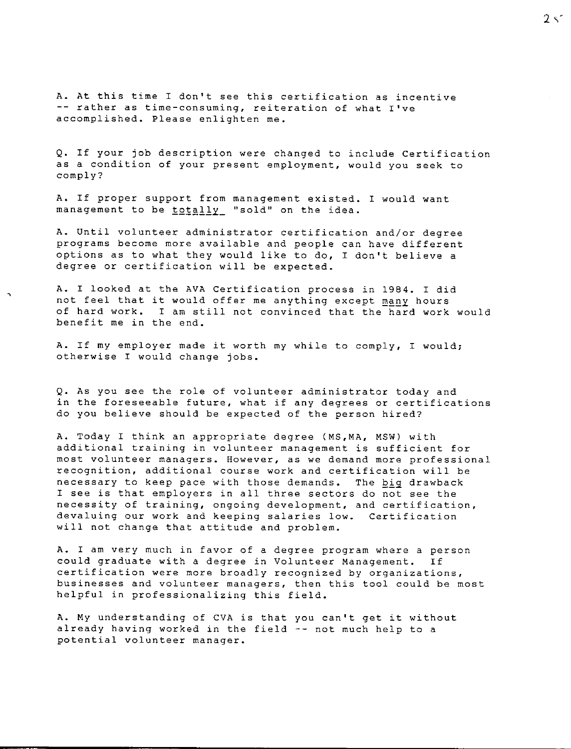**A. At this time I don't see this certification as incentive rather as time-consuming, reiteration of what I've**  accomplished. Please enlighten me.

Q. If your job description were changed to include Certification **as a condition of your present employment, would you seek to**  comply?

A. If proper support from management existed. I would want management to be totally "sold" on the idea.

A. Until volunteer administrator certification and/or degree programs become more available and people can have different options as to what they would like to do, I don't believe a degree or certification will be expected.

**A.** I looked at the AVA Certification process in 1984. I did not feel that it would offer me anything except many hours of hard work. I am still not convinced that the hard work would benefit me in the end.

A. If my employer made it worth my while to comply, I would; otherwise I would change jobs.

Q. As you see the role of volunteer administrator today and **in the foreseeable future, what if any degrees or certifications**  do you believe should be expected of the person hired?

A. Today I think an appropriate degree (MS,MA, MSW) with **additional training in volunteer management is sufficient for most volunteer managers. However, as we demand more professional recognition, additional course work and certification will be**  necessary to keep pace with those demands. The big drawback I see is that employers in all three sectors do not see the **necessity of training, ongoing development, and certification, devaluing our work and keeping salaries low. Certification**  will not change that attitude and problem.

**A. I am very much in favor of a degree program where a person**  could graduate with a degree **in** Volunteer Management. If **certification were more broadly recognized by organizations, businesses and volunteer managers, then this tool could be most**  helpful in professionalizing this field.

**A. My** understanding of CVA is that you can't get it without already having worked in the field -- not much help to a **potential volunteer manager.**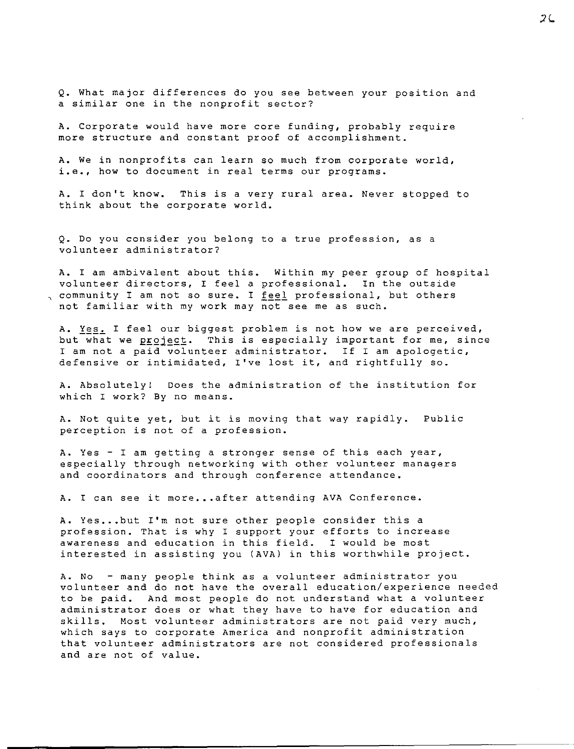Q. What major differences do you see between your position and **a similar one in the nonprofit sector?** 

A. Corporate would have more core funding, probably require **more structure and constant proof of accomplishment.** 

**A. We in nonprofits can learn so much from corporate world, i.e., how to document in real terms our programs.** 

**A. I don't know. This is a very rural area. Never stopped to**  think about the corporate world.

**Q. Do you consider you belong to a true profession, as a volunteer administrator?** 

A. I am ambivalent about this. Within my peer group of hospi volunteer directors, I feel a professional. In the outs**i** , community I am not so sure. I <u>feel</u> professional, but othe not familiar with my work may **not see me as such.** 

**A.** *X~§~* **I feel our biggest problem is not how we are perceived,**  but what we project. This is especially important for me, since **I am not a paid volunteer administrator. If I am apologetic,**  defensive or intimidated, I've lost it, and rightfully so.

A. Absolutely! Does the administration of the institution for **which I work? By no means.** 

A. Not quite yet, but it is moving that way rapidly. Publ **perception is not of a profession.** 

**A. Yes** - I **am getting a stronger sense of this each year,**  especially through networking with other volunteer managers and coordinators and through conference attendance.

A. I can see it more...after attending AVA Conference.

A. Yes...but I'm not sure other people consider this a **profession. That is why I support your efforts to increase awareness and education in this field. I would be most**  interested in assisting you **(AVA)** in this worthwhile project.

**A. No - many people think as a volunteer administrator you volunteer and do not have the overall education/experience needed**  to be paid. And most people do not understand what a volunteer administrator does or what they have to have for education and **skills. Most volunteer administrators are not paid very much, which says to corporate America and nonprofit administration that volunteer administrators are not considered professionals**  and are not of value.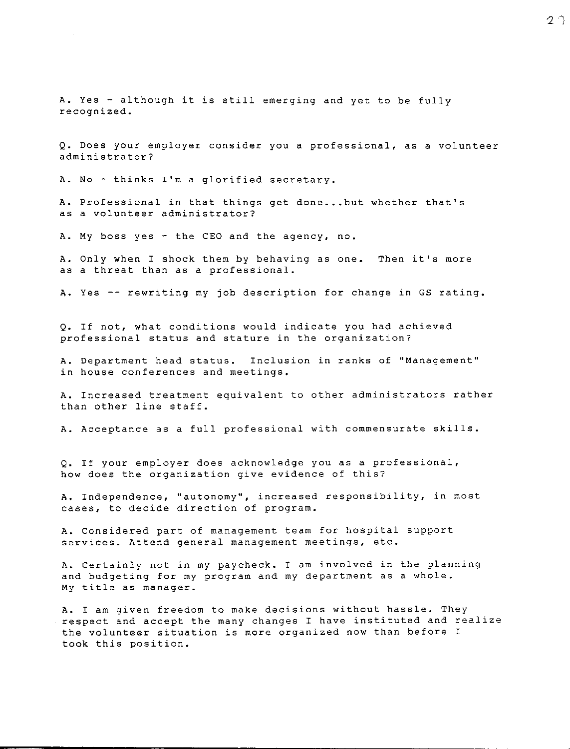A. Yes - although it is still emerging and yet to be fully **recognized.** 

**Q. Does your employer consider you a professional, as a volunteer administrator?** 

A. No - thinks I'm a glorified secretary.

A. Professional in that things get done...but whether that's **as a volunteer administrator?** 

A. My boss yes - the CEO and the agency, no.

A. Only when I shock them by behaving as one. Then it's mor as a threat than as a professional.

A. Yes -- rewriting my job description for change in GS rating.

Q. If not, what conditions would indicate you had achieved **professional status and stature in the organization?** 

A. Department head status. **Inclusion in ranks of ''Management'' in house conferences and meetings.** 

**A. Increased treatment equivalent to other administrators rather**  than other line staff.

**A. Acceptance as a full professional with commensurate skills.** 

Q. If your employer does acknowledge you as a professional, **how does the organization give evidence of this?** 

**A. Independence, ''autonomy'', increased responsibility, in most cases, to decide direction of program.** 

**A.** Considered part of management team for hospital support **services. Attend general management meetings, etc.** 

A. Certainly not in my paycheck. I am involved in the planning and budgeting for my program and my department as a whole. **My** title as manager.

**A. I am given freedom to make decisions without hassle. They**  respect and accept the many changes I have instituted and realize **the volunteer situation is more organized now than before I**  took this position.

クウ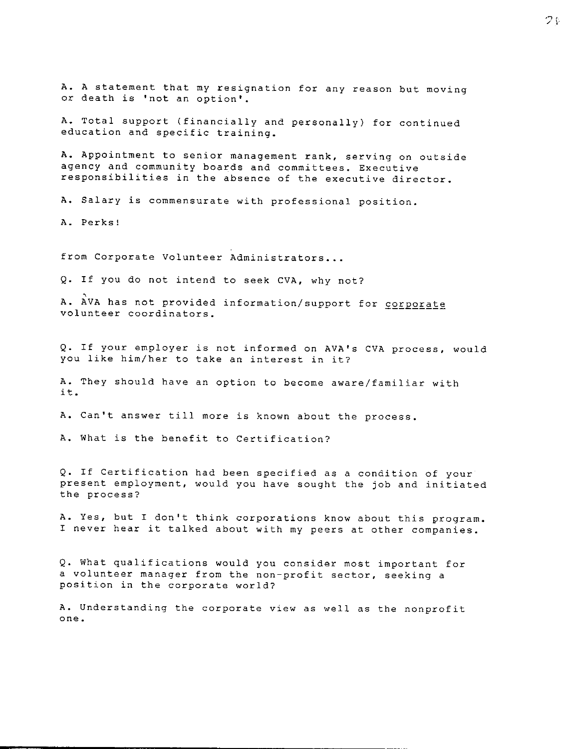**A.** A statement that my resignation for any reason but moving **or death is 'not an option'.** 

**A.** Total support (financially and personally) for continued **education and specific training.** 

**A. Appointment to senior management rank, serving on outside agency and community boards and committees. Executive responsibilities in the absence of the executive director.** 

**A. Salary is commensurate with professional position.** 

A. Perks!

**from Corporate Volunteer Administrators •..** 

Q. If you do not intend to seek CVA, why not?

A. AVA has not provided information/support for corporate **volunteer coordinators.** 

Q. If your employer is not informed on AVA's CVA process, would you like him/her to take an interest in it?

A. They should have an option to become aware/familiar with it.

**A. Can't answer till more is known about the process.** 

A. What is the benefit to Certification?

Q. If Certification had been specified as a condition of your present employment, would you have sought the job and initiated **the process?** 

**A. Yes, but I don't think corporations know about this program.**  I never hear it talked about with my peers at other companies.

Q. What qualifications would you consider most important for **a volunteer manager from the non-profit sector, seeking a position in the corporate world?** 

**A. Understanding the corporate view as well as the nonprofit one.**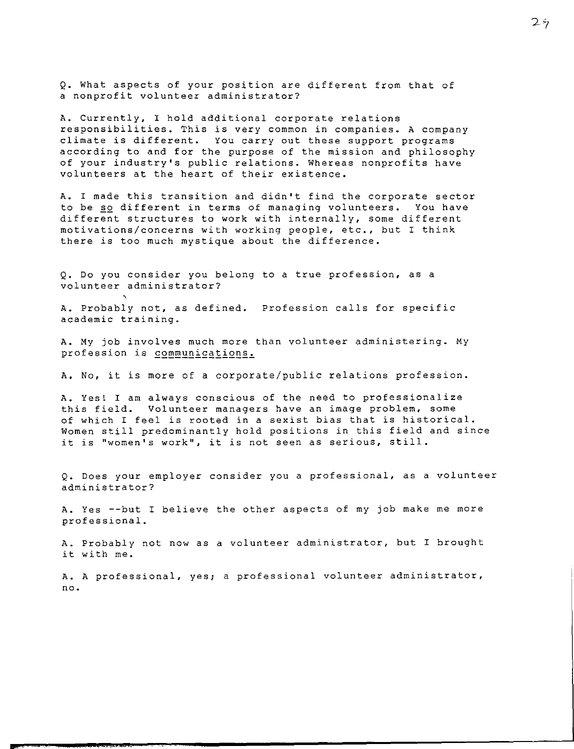Q. What aspects of your position are different from that of **a nonprofit volunteer administrator?** 

A. Currently, I hold additional corporate relations **responsibilities. This is very common in companies. A company**  climate is different. You carry out these support programs according to and for the purpose of the mission and philosophy **of your industry's public relations. Whereas nonprofits have**  volunteers at the heart of their existence.

A. I made this transition and didn't find the corporate sector to be so different in terms of managing volunteers. You have different structures to work with internally, some different **motivations/concerns with working people, etc., but I think**  there is too much mystique about the difference.

Q. Do you consider you belong to a true profession, as a **volunteer administrator?** 

A. Probably not, as defined. **Profession calls for specific academic training.** 

**A. My job involves much more than volunteer administering. My**  profession is **communications**.

A. No, it is more of a corporate/public relations profession.

**A. Yest I am always conscious of the need to professionalize this field. Volunteer managers have an image problem, some**  of which I feel is rooted in a sexist bias that is historical. Women still predominantly hold positions in this field and since **it is 1 'women's work'', it is not seen as serious, still.** 

**Q. Does your employer consider you a professional, as a volunteer administrator?** 

A. Yes --but I believe the other aspects of my job make me more professional.

**A. Probably not now as a volunteer administrator, but I brought**  it with me.

**A. A professional, yes; a professional volunteer administrator,**  no.